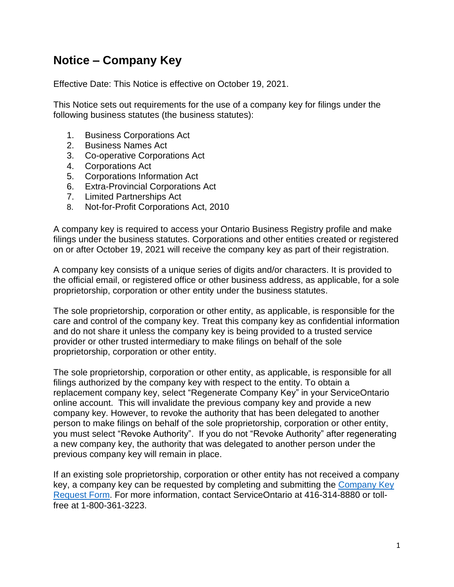## **Notice – Company Key**

Effective Date: This Notice is effective on October 19, 2021.

This Notice sets out requirements for the use of a company key for filings under the following business statutes (the business statutes):

- 1. Business Corporations Act
- 2. Business Names Act
- 3. Co-operative Corporations Act
- 4. Corporations Act
- 5. Corporations Information Act
- 6. Extra-Provincial Corporations Act
- 7. Limited Partnerships Act
- 8. Not-for-Profit Corporations Act, 2010

A company key is required to access your Ontario Business Registry profile and make filings under the business statutes. Corporations and other entities created or registered on or after October 19, 2021 will receive the company key as part of their registration.

A company key consists of a unique series of digits and/or characters. It is provided to the official email, or registered office or other business address, as applicable, for a sole proprietorship, corporation or other entity under the business statutes.

The sole proprietorship, corporation or other entity, as applicable, is responsible for the care and control of the company key. Treat this company key as confidential information and do not share it unless the company key is being provided to a trusted service provider or other trusted intermediary to make filings on behalf of the sole proprietorship, corporation or other entity.

The sole proprietorship, corporation or other entity, as applicable, is responsible for all filings authorized by the company key with respect to the entity. To obtain a replacement company key, select "Regenerate Company Key" in your ServiceOntario online account. This will invalidate the previous company key and provide a new company key. However, to revoke the authority that has been delegated to another person to make filings on behalf of the sole proprietorship, corporation or other entity, you must select "Revoke Authority". If you do not "Revoke Authority" after regenerating a new company key, the authority that was delegated to another person under the previous company key will remain in place.

If an existing sole proprietorship, corporation or other entity has not received a company key, a company key can be requested by completing and submitting the [Company Key](https://www.appmybizaccount.gov.on.ca/onbis/companykey/?lang=en)  [Request Form.](https://www.appmybizaccount.gov.on.ca/onbis/companykey/?lang=en) For more information, contact ServiceOntario at 416-314-8880 or tollfree at 1-800-361-3223.